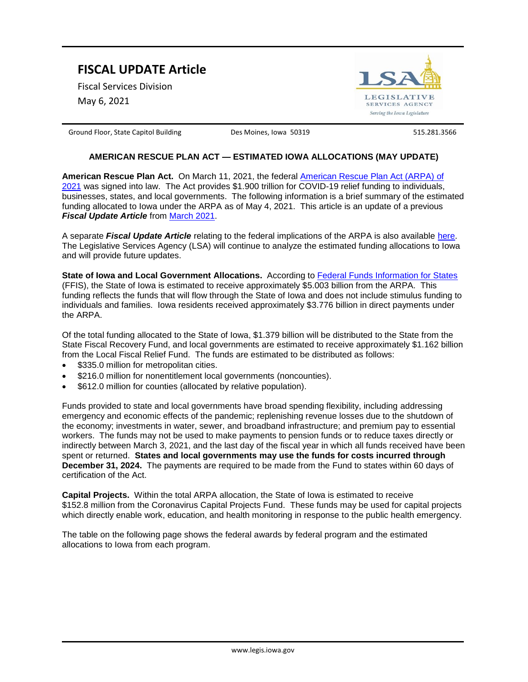## **FISCAL UPDATE Article**

Fiscal Services Division

May 6, 2021



Ground Floor, State Capitol Building **Des Moines, Iowa 50319** 515.281.3566

## **AMERICAN RESCUE PLAN ACT — ESTIMATED IOWA ALLOCATIONS (MAY UPDATE)**

**American Rescue Plan Act.** On March 11, 2021, the federal American Rescue Plan Act (ARPA) of 2021 was signed into law. The Act provides \$1.900 trillion for COVID-19 relief funding to individuals, businesses, states, and local governments. The following information is a brief summary of the estimated funding allocated to Iowa under the ARPA as of May 4, 2021. This article is an update of a previous *Fiscal Update Article* from March 2021.

A separate *Fiscal Update Article* relating to the federal implications of the ARPA is also available here. The Legislative Services Agency (LSA) will continue to analyze the estimated funding allocations to Iowa and will provide future updates.

**State of Iowa and Local Government Allocations.** According to Federal Funds Information for States (FFIS), the State of Iowa is estimated to receive approximately \$5.003 billion from the ARPA. This funding reflects the funds that will flow through the State of Iowa and does not include stimulus funding to individuals and families. Iowa residents received approximately \$3.776 billion in direct payments under the ARPA.

Of the total funding allocated to the State of Iowa, \$1.379 billion will be distributed to the State from the State Fiscal Recovery Fund, and local governments are estimated to receive approximately \$1.162 billion from the Local Fiscal Relief Fund. The funds are estimated to be distributed as follows:

- \$335.0 million for metropolitan cities.
- \$216.0 million for nonentitlement local governments (noncounties).
- \$612.0 million for counties (allocated by relative population).

Funds provided to state and local governments have broad spending flexibility, including addressing emergency and economic effects of the pandemic; replenishing revenue losses due to the shutdown of the economy; investments in water, sewer, and broadband infrastructure; and premium pay to essential workers. The funds may not be used to make payments to pension funds or to reduce taxes directly or indirectly between March 3, 2021, and the last day of the fiscal year in which all funds received have been spent or returned. **States and local governments may use the funds for costs incurred through December 31, 2024.** The payments are required to be made from the Fund to states within 60 days of certification of the Act.

**Capital Projects.** Within the total ARPA allocation, the State of Iowa is estimated to receive \$152.8 million from the Coronavirus Capital Projects Fund. These funds may be used for capital projects which directly enable work, education, and health monitoring in response to the public health emergency.

The table on the following page shows the federal awards by federal program and the estimated allocations to Iowa from each program.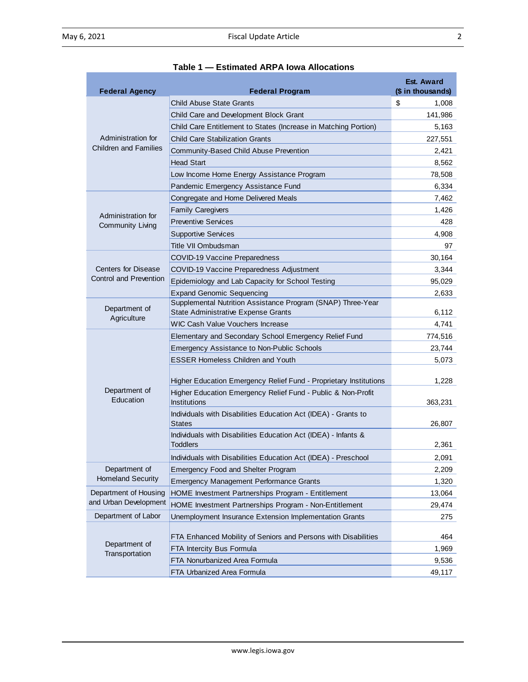| <b>Federal Agency</b>                                       | <b>Federal Program</b>                                                     | <b>Est. Award</b><br>(\$ in thousands) |
|-------------------------------------------------------------|----------------------------------------------------------------------------|----------------------------------------|
| Administration for<br><b>Children and Families</b>          | <b>Child Abuse State Grants</b>                                            | \$<br>1,008                            |
|                                                             | Child Care and Development Block Grant                                     | 141,986                                |
|                                                             | Child Care Entitlement to States (Increase in Matching Portion)            | 5,163                                  |
|                                                             | <b>Child Care Stabilization Grants</b>                                     | 227,551                                |
|                                                             | Community-Based Child Abuse Prevention                                     | 2,421                                  |
|                                                             | <b>Head Start</b>                                                          | 8,562                                  |
|                                                             | Low Income Home Energy Assistance Program                                  | 78,508                                 |
|                                                             | Pandemic Emergency Assistance Fund                                         | 6,334                                  |
| Administration for<br><b>Community Living</b>               | Congregate and Home Delivered Meals                                        | 7,462                                  |
|                                                             | <b>Family Caregivers</b>                                                   | 1,426                                  |
|                                                             | <b>Preventive Services</b>                                                 | 428                                    |
|                                                             | <b>Supportive Services</b>                                                 | 4,908                                  |
|                                                             | Title VII Ombudsman                                                        | 97                                     |
| <b>Centers for Disease</b><br><b>Control and Prevention</b> | <b>COVID-19 Vaccine Preparedness</b>                                       | 30,164                                 |
|                                                             | COVID-19 Vaccine Preparedness Adjustment                                   | 3,344                                  |
|                                                             | Epidemiology and Lab Capacity for School Testing                           | 95,029                                 |
|                                                             | <b>Expand Genomic Sequencing</b>                                           | 2,633                                  |
| Department of<br>Agriculture                                | Supplemental Nutrition Assistance Program (SNAP) Three-Year                |                                        |
|                                                             | State Administrative Expense Grants                                        | 6,112                                  |
|                                                             | WIC Cash Value Vouchers Increase                                           | 4,741                                  |
| Department of<br>Education                                  | Elementary and Secondary School Emergency Relief Fund                      | 774,516                                |
|                                                             | Emergency Assistance to Non-Public Schools                                 | 23,744                                 |
|                                                             | <b>ESSER Homeless Children and Youth</b>                                   | 5,073                                  |
|                                                             | Higher Education Emergency Relief Fund - Proprietary Institutions          | 1,228                                  |
|                                                             | Higher Education Emergency Relief Fund - Public & Non-Profit               |                                        |
|                                                             | <b>Institutions</b>                                                        | 363,231                                |
|                                                             | Individuals with Disabilities Education Act (IDEA) - Grants to             |                                        |
|                                                             | <b>States</b>                                                              | 26,807                                 |
|                                                             | Individuals with Disabilities Education Act (IDEA) - Infants &<br>Toddlers | 2,361                                  |
|                                                             | Individuals with Disabilities Education Act (IDEA) - Preschool             | 2,091                                  |
| Department of                                               | <b>Emergency Food and Shelter Program</b>                                  | 2,209                                  |
| <b>Homeland Security</b>                                    | <b>Emergency Management Performance Grants</b>                             | 1,320                                  |
| Department of Housing                                       | HOME Investment Partnerships Program - Entitlement                         | 13,064                                 |
| and Urban Development                                       | HOME Investment Partnerships Program - Non-Entitlement                     | 29,474                                 |
| Department of Labor                                         | Unemployment Insurance Extension Implementation Grants                     | 275                                    |
| Department of<br>Transportation                             | FTA Enhanced Mobility of Seniors and Persons with Disabilities             | 464                                    |
|                                                             | FTA Intercity Bus Formula                                                  | 1,969                                  |
|                                                             | FTA Nonurbanized Area Formula                                              | 9,536                                  |
|                                                             | FTA Urbanized Area Formula                                                 | 49,117                                 |

## **Table 1 — Estimated ARPA Iowa Allocations**